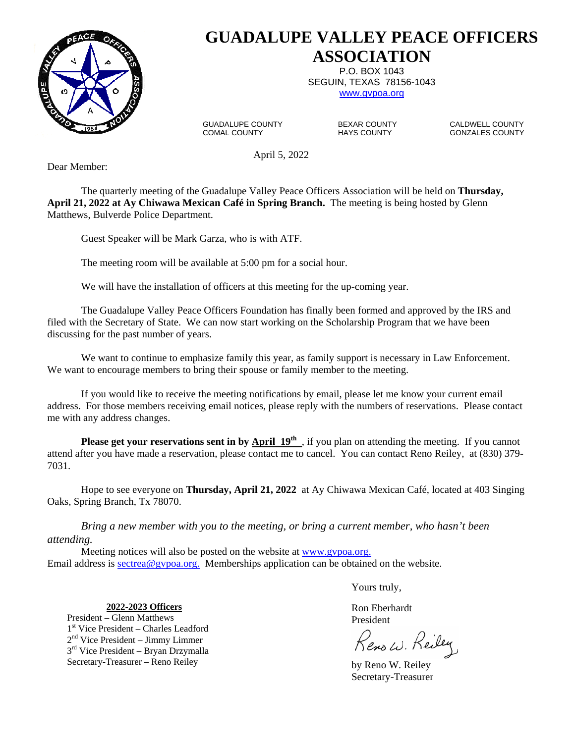

# **GUADALUPE VALLEY PEACE OFFICERS ASSOCIATION**

P.O. BOX 1043 SEGUIN, TEXAS 78156-1043 www.gvpoa.org

GUADALUPE COUNTY BEXAR COUNTY CALDWELL COUNTY<br>COMAL COUNTY HAYS COUNTY GONZALES COUNTY

GONZALES COUNTY

April 5, 2022

Dear Member:

The quarterly meeting of the Guadalupe Valley Peace Officers Association will be held on **Thursday, April 21, 2022 at Ay Chiwawa Mexican Café in Spring Branch.** The meeting is being hosted by Glenn Matthews, Bulverde Police Department.

Guest Speaker will be Mark Garza, who is with ATF.

The meeting room will be available at 5:00 pm for a social hour.

We will have the installation of officers at this meeting for the up-coming year.

The Guadalupe Valley Peace Officers Foundation has finally been formed and approved by the IRS and filed with the Secretary of State. We can now start working on the Scholarship Program that we have been discussing for the past number of years.

We want to continue to emphasize family this year, as family support is necessary in Law Enforcement. We want to encourage members to bring their spouse or family member to the meeting.

If you would like to receive the meeting notifications by email, please let me know your current email address. For those members receiving email notices, please reply with the numbers of reservations. Please contact me with any address changes.

**Please get your reservations sent in by <b>April 19**<sup>th</sup>, if you plan on attending the meeting. If you cannot attend after you have made a reservation, please contact me to cancel. You can contact Reno Reiley, at (830) 379- 7031.

 Hope to see everyone on **Thursday, April 21, 2022** at Ay Chiwawa Mexican Café, located at 403 Singing Oaks, Spring Branch, Tx 78070.

*Bring a new member with you to the meeting, or bring a current member, who hasn't been attending.* 

 Meeting notices will also be posted on the website at www.gvpoa.org. Email address is sectrea@gvpoa.org. Memberships application can be obtained on the website.

Yours truly,

Ron Eberhardt

Kenow. Keiley

 by Reno W. Reiley Secretary-Treasurer

**2022-2023 Officers**

President – Glenn Matthews President 1<sup>st</sup> Vice President – Charles Leadford 2nd Vice President – Jimmy Limmer 3<sup>rd</sup> Vice President – Bryan Drzymalla Secretary-Treasurer – Reno Reiley